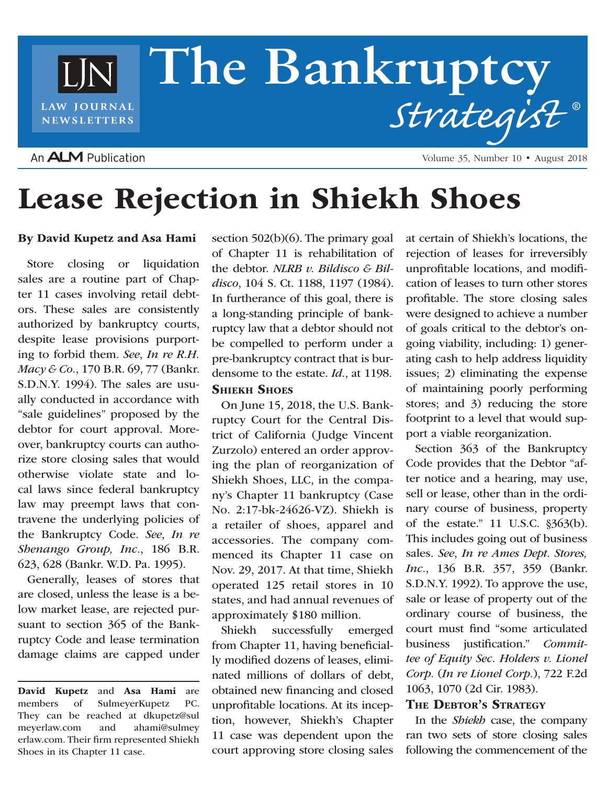# **The Bankruptcy** LJN *Strategist* **®** LAW JOURNAL **NEWSLETTERS**

# An **ALM** Publication

Volume 35, Number 10 • August 2018

# Lease Rejection in Shiekh Shoes

### By David Kupetz and Asa Hami

Store closing or liquidation sales are a routine part of Chapter 11 cases involving retail debtors. These sales are consistently authorized by bankruptcy courts, despite lease provisions purporting to forbid them. *See*, *In re R.H. Macy & Co.*, 170 B.R. 69, 77 (Bankr. S.D.N.Y. 1994). The sales are usually conducted in accordance with "sale guidelines" proposed by the debtor for court approval. Moreover, bankruptcy courts can authorize store closing sales that would otherwise violate state and local laws since federal bankruptcy law may preempt laws that contravene the underlying policies of the Bankruptcy Code. *See*, *In re Shenango Group, Inc.*, 186 B.R. 623, 628 (Bankr. W.D. Pa. 1995).

Generally, leases of stores that are closed, unless the lease is a below market lease, are rejected pursuant to section 365 of the Bankruptcy Code and lease termination damage claims are capped under

section 502(b)(6). The primary goal of Chapter 11 is rehabilitation of the debtor. *NLRB v. Bildisco & Bildisco*, 104 S. Ct. 1188, 1197 (1984). In furtherance of this goal, there is a long-standing principle of bankruptcy law that a debtor should not be compelled to perform under a pre-bankruptcy contract that is burdensome to the estate. *Id*., at 1198.

# **SHIEKH SHOES**

On June 15, 2018, the U.S. Bankruptcy Court for the Central District of California (Judge Vincent Zurzolo) entered an order approving the plan of reorganization of Shiekh Shoes, LLC, in the company's Chapter 11 bankruptcy (Case No. 2:17-bk-24626-VZ). Shiekh is a retailer of shoes, apparel and accessories. The company commenced its Chapter 11 case on Nov. 29, 2017. At that time, Shiekh operated 125 retail stores in 10 states, and had annual revenues of approximately \$180 million.

Shiekh successfully emerged from Chapter 11, having beneficially modified dozens of leases, eliminated millions of dollars of debt, obtained new financing and closed unprofitable locations. At its inception, however, Shiekh's Chapter 11 case was dependent upon the court approving store closing sales

at certain of Shiekh's locations, the rejection of leases for irreversibly unprofitable locations, and modification of leases to turn other stores profitable. The store closing sales were designed to achieve a number of goals critical to the debtor's ongoing viability, including: 1) generating cash to help address liquidity issues; 2) eliminating the expense of maintaining poorly performing stores; and 3) reducing the store footprint to a level that would support a viable reorganization.

Section 363 of the Bankruptcy Code provides that the Debtor "after notice and a hearing, may use, sell or lease, other than in the ordinary course of business, property of the estate." 11 U.S.C. §363(b). This includes going out of business sales. *See*, *In re Ames Dept. Stores, Inc.*, 136 B.R. 357, 359 (Bankr. S.D.N.Y. 1992). To approve the use, sale or lease of property out of the ordinary course of business, the court must find "some articulated business justification." *Committee of Equity Sec. Holders v. Lionel Corp.* (*In re Lionel Corp.*), 722 F.2d 1063, 1070 (2d Cir. 1983).

### The Debtor's Strategy

In the *Shiekh* case, the company ran two sets of store closing sales following the commencement of the

David Kupetz and Asa Hami are members of SulmeyerKupetz PC. They can be reached at dkupetz@sul meyerlaw.com and ahami@sulmey erlaw.com. Their firm represented Shiekh Shoes in its Chapter 11 case.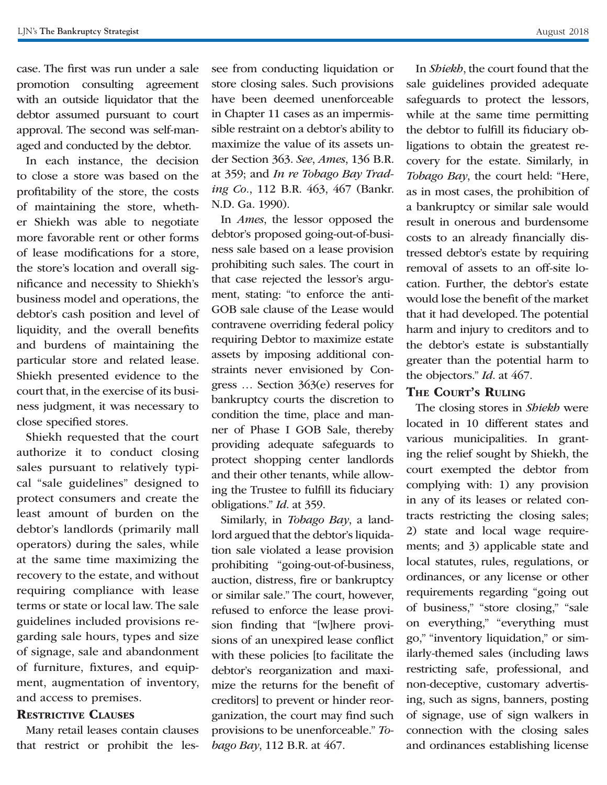case. The first was run under a sale promotion consulting agreement with an outside liquidator that the debtor assumed pursuant to court approval. The second was self-managed and conducted by the debtor.

In each instance, the decision to close a store was based on the profitability of the store, the costs of maintaining the store, whether Shiekh was able to negotiate more favorable rent or other forms of lease modifications for a store, the store's location and overall significance and necessity to Shiekh's business model and operations, the debtor's cash position and level of liquidity, and the overall benefits and burdens of maintaining the particular store and related lease. Shiekh presented evidence to the court that, in the exercise of its business judgment, it was necessary to close specified stores.

Shiekh requested that the court authorize it to conduct closing sales pursuant to relatively typical "sale guidelines" designed to protect consumers and create the least amount of burden on the debtor's landlords (primarily mall operators) during the sales, while at the same time maximizing the recovery to the estate, and without requiring compliance with lease terms or state or local law. The sale guidelines included provisions regarding sale hours, types and size of signage, sale and abandonment of furniture, fixtures, and equipment, augmentation of inventory, and access to premises.

#### RESTRICTIVE CLAUSES

Many retail leases contain clauses that restrict or prohibit the lessee from conducting liquidation or store closing sales. Such provisions have been deemed unenforceable in Chapter 11 cases as an impermissible restraint on a debtor's ability to maximize the value of its assets under Section 363. *See*, *Ames*, 136 B.R. at 359; and *In re Tobago Bay Trading Co.*, 112 B.R. 463, 467 (Bankr. N.D. Ga. 1990).

In *Ames*, the lessor opposed the debtor's proposed going-out-of-business sale based on a lease provision prohibiting such sales. The court in that case rejected the lessor's argument, stating: "to enforce the anti-GOB sale clause of the Lease would contravene overriding federal policy requiring Debtor to maximize estate assets by imposing additional constraints never envisioned by Congress … Section 363(e) reserves for bankruptcy courts the discretion to condition the time, place and manner of Phase I GOB Sale, thereby providing adequate safeguards to protect shopping center landlords and their other tenants, while allowing the Trustee to fulfill its fiduciary obligations." *Id*. at 359.

Similarly, in *Tobago Bay*, a landlord argued that the debtor's liquidation sale violated a lease provision prohibiting "going-out-of-business, auction, distress, fire or bankruptcy or similar sale." The court, however, refused to enforce the lease provision finding that "[w]here provisions of an unexpired lease conflict with these policies [to facilitate the debtor's reorganization and maximize the returns for the benefit of creditors] to prevent or hinder reorganization, the court may find such provisions to be unenforceable." *Tobago Bay*, 112 B.R. at 467.

In *Shiekh*, the court found that the sale guidelines provided adequate safeguards to protect the lessors, while at the same time permitting the debtor to fulfill its fiduciary obligations to obtain the greatest recovery for the estate. Similarly, in *Tobago Bay*, the court held: "Here, as in most cases, the prohibition of a bankruptcy or similar sale would result in onerous and burdensome costs to an already financially distressed debtor's estate by requiring removal of assets to an off-site location. Further, the debtor's estate would lose the benefit of the market that it had developed. The potential harm and injury to creditors and to the debtor's estate is substantially greater than the potential harm to the objectors." *Id*. at 467.

## THE COURT'S RULING

The closing stores in *Shiekh* were located in 10 different states and various municipalities. In granting the relief sought by Shiekh, the court exempted the debtor from complying with: 1) any provision in any of its leases or related contracts restricting the closing sales; 2) state and local wage requirements; and 3) applicable state and local statutes, rules, regulations, or ordinances, or any license or other requirements regarding "going out of business," "store closing," "sale on everything," "everything must go," "inventory liquidation," or similarly-themed sales (including laws restricting safe, professional, and non-deceptive, customary advertising, such as signs, banners, posting of signage, use of sign walkers in connection with the closing sales and ordinances establishing license